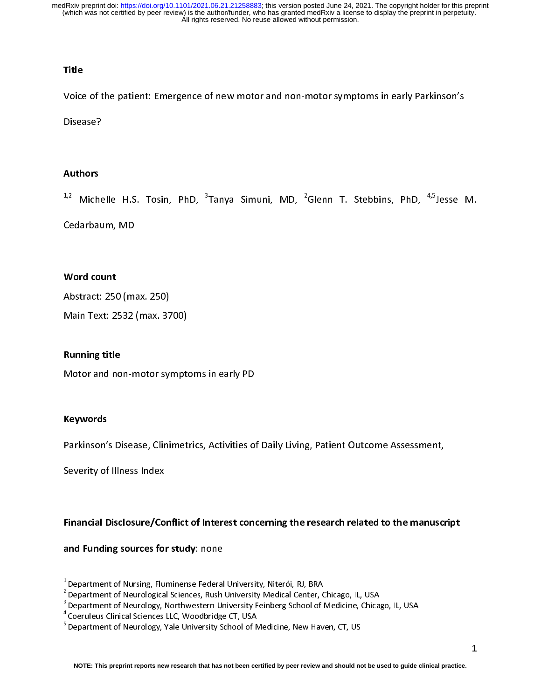## **Title**

 $\begin{array}{c} \n\frac{1}{2} & \text{if } \\ \n\frac{1}{2} & \text{if } \\ \n\frac{1}{2} & \text{if } \\ \n\frac{1}{2} & \text{if } \\ \n\frac{1}{2} & \text{if } \\ \n\frac{1}{2} & \text{if } \\ \n\frac{1}{2} & \text{if } \\ \n\frac{1}{2} & \text{if } \\ \n\frac{1}{2} & \text{if } \\ \n\frac{1}{2} & \text{if } \\ \n\frac{1}{2} & \text{if } \\ \n\frac{1}{2} & \text{if } \\ \n\frac{1}{2} & \text{if } \\ \n\frac{$ 

## Authors

Disease?<br>Authors<br><sup>1,2</sup> Michelle H.S. Tosin. PhD. <sup>3</sup>Tanva Simuni. MD. <sup>2</sup>Glenn T. Stebbins. PhD. <sup>4,5</sup>Jesse -Alexandre<br>Authors<br><sup>1,2</sup> Miche<br>Cedarbau  $\frac{1}{1}$ Tanya Simuni, MD, <del>2</del><br>Jampa<br>Jampa<br>Jampa<br>Jampa<br>Jampa<br>Jampa<br>Jampa<br>Jampa<br>Jampa<br>Jampa<br>Jampa<br>Jampa<br>Jampa<br>Jampa<br>Jampa<br>Jampa<br>Jampa<br>Jampa<br>Jampa<br>Jampa<br>Jampa<br>Jampa<br>Jampa<br>Jampa<br>Jampa<br>Jampa<br>Jampa<br>Jampa<br>Jampa<br>Jampa<br>Jampa<br> Glenn T. Stebbins, PhD, 4,5Jesse M.

## Word count

\*/\* Michelle H.S. Tosin, PhD, <sup>3</sup><br>Cedarbaum, MD<br>**Word count**<br>Abstract: 250 (max. 250) Word count<br>Abstract: 250 (m.<br>Main Text: 2532 \<br>|<br>|<br>|

Main Text: 2532 (max. 37<br>Main Text: 2532 (max. 37<br>**Running title**<br>Motor and non-motor syl

## Running title

ware of the summing title<br>Motor and non-motor sympt<br>Kevwords

## Keywords

Motor and non-motor symptoms in early PD<br>**Keywords**<br>Parkinson's Disease, Clinimetrics, Activities of<br>Severity of Illness Index

## Parkinson's Disease, Conflict of Action of Disease, Activities of Pharkinson's Disease, Activities of Pharkinson<br>Primancial Disclosure/Conflict of Interest concerning the research related to the manuscription<br>and Funding s Severity of Illness Index<br>Financial Disclosure/Conflict of Inter<br>and Funding sources for study: none  $\begin{bmatrix} 1 \\ 2 \\ 3 \end{bmatrix}$ Financial Disclosure/Conflict of Interest concerning the research related to the manuscript

and Funding sources for study: hone<br>
<sup>1</sup> Department of Nursing, Fluminense Federal<br>
<sup>2</sup> Department of Neurological Sciences, Rush<br>
<sup>3</sup> Department of Neurology, Northwestern Ur<br>
<sup>4</sup> Coeruleus Clinical Sciences LLC, Woodbrid 1 Department of Nursing, Fluminense Federal University, Niterói, RJ, BRA

<sup>&</sup>lt;sup>-</sup>Department of Neurological Sciences, Rush University Medical Center, Chicago, IL, USA<br><sup>3</sup> Department of Navigle with the burst and University Fairborn Cabacles Medicine, Chica

 $3$  Department of Neurology, Northwestern University Feinberg School of Medicine, Chicago, IL, USA

<sup>4</sup> Coeruleus Clinical Sciences LLC, Woodbridge CT, USA

<sup>&</sup>lt;sup>5</sup> Department of Neurology, Yale University School of Medicine, New Haven, CT, US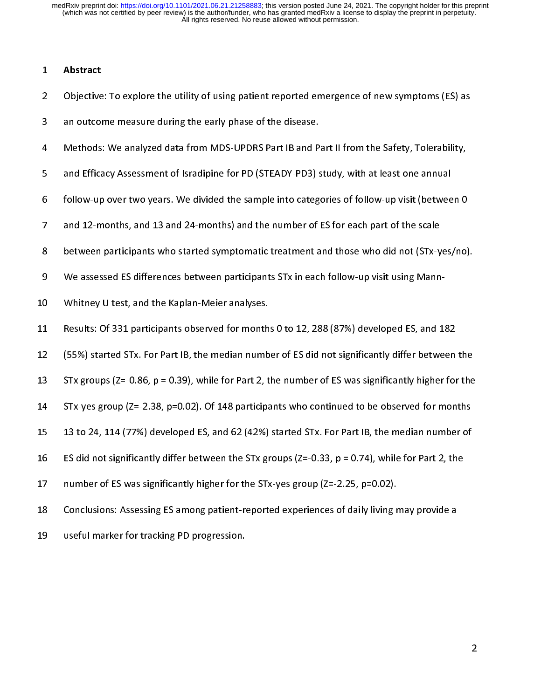/<br>(<br>。 2 Objective<br>3 an outcol<br>4 Methods<br>5 and Effica

- 2 Objective: To explore the USE of the USE of the USE of the disease.<br>2 Objective: To explore the utility of the utility of the USE of the USE of the USE of the USE of the USE of the USE of the USE of the USE of the USE of
- 
- 3 Methods: We analyzed data from MDS-UPDRS Part IB and P<br>3 and Efficacy Assessment of Isradipine for PD (STEADY-PD3) s<br>5 follow-up over two years. We divided the sample into categ.<br>7 and 12-months, and 13 and 24-months) an 4 Arenald Efficacy Assessment of Isradipine for PD (STEADY-PD3) study, with at least one annual<br>4 Tollow-up over two years. We divided the sample into categories of follow-up visit (between 0<br>4 Tollow-up over two years. We follow-up over two years. We divided the sample into categories of follow-up visit (betwee<br>and 12-months, and 13 and 24-months) and the number of ES for each part of the scale<br>between participants who started symptomatic t
- 
- and 12-months, and 13 and 24-months) and the number of ES for each part of the scale<br>between participants who started symptomatic treatment and those who did not (STx-yes/no)<br>We assessed ES differences between participants 7 between participants who started symptomatic treatment and those who did not (STx-y<br>13 All We assessed ES differences between participants STx in each follow-up visit using Mann<br>14 All Whitney U test, and the Kaplan-Meie
- 
- 
- 8 Between participants who started symptomatic treatment and those who and those who started symptomatic Whitney U test, and the Kaplan-Meier analyses.<br>8 Between participants who did not variable who did not (STX-yes).<br>8 R
- Results: Of 331 participants observed for month:<br>12 (55%) started STx. For Part IB, the median numb<br>13 STx groups (Z=-0.86, p = 0.39), while for Part 2, t<br>14 STx-ves group (Z=-2.38, p=0.02). Of 148 participa 12 (55%) started STx. For Part IB, the median number of ES did not significantly differ between<br>13 STx groups (Z=-0.86, p = 0.39), while for Part 2, the number of ES was significantly higher for<br>14 STx-yes group (Z=-2.38,
- 9 STx groups ( $Z = -0.86$ ,  $p = 0.39$ ), while for Part 2, the number of ES was significantly higher for the 13 STx groups (Z=-0.86, p = 0.39), while for Part 2, the number of ES was significantly higher for the<br>14 STx-yes group (Z=-2.38, p=0.02). Of 148 participants who continued to be observed for months<br>15 13 to 24, 114 (77%)
- 
- 
- 14 STx-yes group (Z=-2.38, p=0.02). Of 148 participants who continued to be observed for months<br>15 13 to 24, 114 (77%) developed ES, and 62 (42%) started STx. For Part IB, the median number of<br>16 ES did not significantly 14 STx-yes group (Z=-2.38, p=0.02). Of 148 participants who continued to be observed for months 16 ES did not significantly differ between the STx groups (Z=-0.33, p = 0.74), while for Part 2, the<br>
17 number of ES was significantly higher for the STx-yes group (Z=-2.25, p=0.02).<br>
18 Conclusions: Assessing ES among p
- 
- 16 Es did not significantly higher for the STx-yes group (Z=-2.25, p=0.02).<br>
16 Conclusions: Assessing ES among patient-reported experiences of daily living may provide a<br>
19 Useful marker for tracking PD progression. 18 Conclusions: Assessing ES among patient-reported experiences of daily living r<br>19 useful marker for tracking PD progression.
- 19 Conclusions: Assessing Conclusions: Assessing the data of the data of the data of the data of the data of the data of the data of the data of data of the data of the data of the data of the data of the data of the data 19 useful marker for tracking PD progression.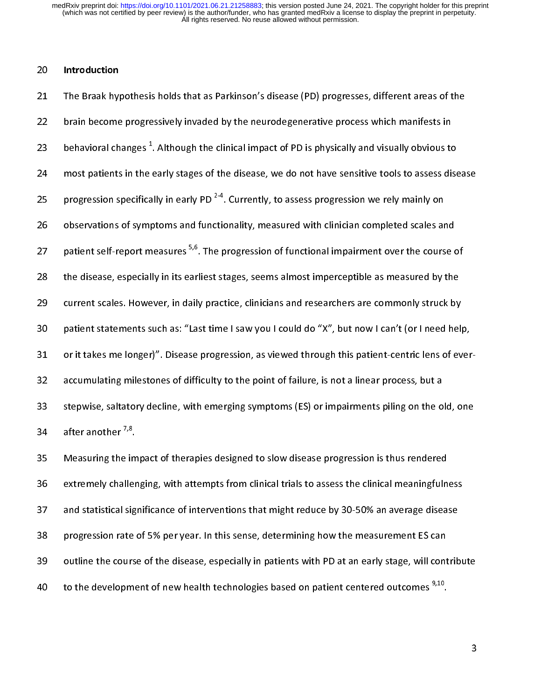$\begin{array}{c} \n\blacksquare \quad \blacksquare \quad \blacksquare \quad \blacksquare \quad \blacksquare \quad \blacksquare \quad \blacksquare \quad \blacksquare \quad \blacksquare \quad \blacksquare \quad \blacksquare \quad \blacksquare \quad \blacksquare \quad \blacksquare \quad \blacksquare \quad \blacksquare \quad \blacksquare \quad \blacksquare \quad \blacksquare \quad \blacksquare \quad \blacksquare \quad \blacksquare \quad \blacksquare \quad \blacksquare \quad \blacksquare \quad \blacksquare \quad \blacksquare \quad \blacksquare \quad \blacksquare \quad \blacksquare \quad \blacksquare \quad \blacksquare \quad \blacksquare \quad \blacksquare \quad \blacksquare \quad \$ 20 Introduction<br>21 The Braak hyp<br>22 brain become<br>23 behavioral ch<br>24 most patients 22 brain become progressively invaded by the neurodegenerative process which manifests in<br>23 behavioral changes<sup>1</sup>. Although the clinical impact of PD is physically and visually obvious to<br>24 most patients in the early st 22 behavioral changes<sup>1</sup>. Although the clinical impact of PD is physically and visually obvious to<br>24 most patients in the early stages of the disease, we do not have sensitive tools to assess dis<br>25 progression specifical behavioral changes <sup>+</sup>. Although the clinical impact of PD is physically and visually obvious to<br>
24 most patients in the early stages of the disease, we do not have sensitive tools to assess dise<br>
25 progression specifica 25 progression specifically in early PD<sup>2-4</sup>. Currently, to assess progression we rely mainly on<br>26 observations of symptoms and functionality, measured with clinician completed scales and<br>27 patient self-report measures <sup></sup> progression specifically in early PD<sup>24</sup>. Currently, to assess progression we rely mainly on<br>26 observations of symptoms and functionality, measured with clinician completed scales ar<br>27 patient self-report measures <sup>5,6</sup>. patient self-report measures <sup>5,6</sup>. The progression of functional impairment over the course of<br>28 the disease, especially in its earliest stages, seems almost imperceptible as measured by the<br>29 current scales. However, i patient self-report measures <sup>5,6</sup>. The progression of functional impairment over the course of<br>the disease, especially in its earliest stages, seems almost imperceptible as measured by the<br>current scales. However, in dail 29 current scales. However, in daily practice, clinicians and researchers are commonly struck by<br>20 patient statements such as: "Last time I saw you I could do "X", but now I can't (or I need hel<br>21 or it takes me longer)" 29 patient statements such as: "Last time I saw you I could do "X", but now I can't (or I need help<br>29 or it takes me longer)". Disease progression, as viewed through this patient-centric lens of ev<br>29 accumulating milesto or it takes me longer)". Disease progression, as viewed through this patient-centric lens of ever<br>accumulating milestones of difficulty to the point of failure, is not a linear process, but a<br>stepwise, saltatory decline, w 33 stepwise, saltatory decline, with emerging symptoms (ES) or impairments piling on the o<br>34 after another <sup>7,8</sup>.<br>35 Measuring the impact of therapies designed to slow disease progression is thus rendered<br>36 extremely cha

35 Measuring the impact of therapies designed to slow disease progression is thus rendered 33 step master and the impact of therapies designed to slow disease progression is thus rendered<br>35 Measuring the impact of therapies designed to slow disease progression is thus rendered<br>36 extremely challenging, with att 34 after another 110.<br>35 Measuring the im<br>36 extremely challer<br>37 and statistical sig<br>38 progression rate Extremely challenging, with attempts from clinical trials to assess the clinical meaningfulness and statistical significance of interventions that might reduce by 30-50% an average disease progression rate of 5% per year. 37 and statistical significance of interventions that might reduce by 30-50% an average disease<br>38 progression rate of 5% per year. In this sense, determining how the measurement ES can<br>39 outline the course of the diseas 38 progression rate of 5% per year. In this sense, determining how the measurement ES can<br>39 outline the course of the disease, especially in patients with PD at an early stage, will contrib<br>30 to the development of new he 39 outline the course of the disease, especially in patients with PD at an early stage, will cont<br>
40 to the development of new health technologies based on patient centered outcomes  $9,10$ . 39 to the development of new health technologies based on patient centered outcomes  $9,10$ .<br>3 to the development of new health technologies based on patient centered outcomes  $^{7.2}$ .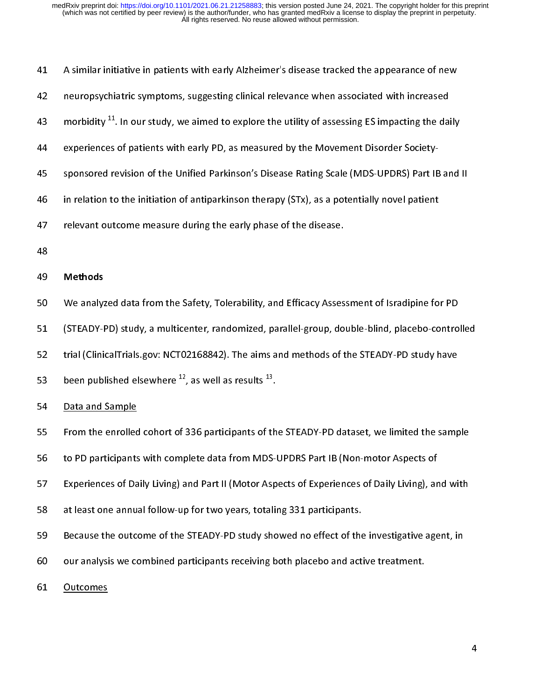| 41 | A similar initiative in patients with early Alzheimer's disease tracked the appearance of new               |  |  |  |  |  |  |  |  |
|----|-------------------------------------------------------------------------------------------------------------|--|--|--|--|--|--|--|--|
| 42 | neuropsychiatric symptoms, suggesting clinical relevance when associated with increased                     |  |  |  |  |  |  |  |  |
| 43 | morbidity <sup>11</sup> . In our study, we aimed to explore the utility of assessing ES impacting the daily |  |  |  |  |  |  |  |  |
| 44 | experiences of patients with early PD, as measured by the Movement Disorder Society-                        |  |  |  |  |  |  |  |  |
| 45 | sponsored revision of the Unified Parkinson's Disease Rating Scale (MDS-UPDRS) Part IB and II               |  |  |  |  |  |  |  |  |
| 46 | in relation to the initiation of antiparkinson therapy (STx), as a potentially novel patient                |  |  |  |  |  |  |  |  |
| 47 | relevant outcome measure during the early phase of the disease.                                             |  |  |  |  |  |  |  |  |
| 48 |                                                                                                             |  |  |  |  |  |  |  |  |
| 49 | <b>Methods</b>                                                                                              |  |  |  |  |  |  |  |  |
| 50 | We analyzed data from the Safety, Tolerability, and Efficacy Assessment of Isradipine for PD                |  |  |  |  |  |  |  |  |
| 51 | (STEADY-PD) study, a multicenter, randomized, parallel-group, double-blind, placebo-controlled              |  |  |  |  |  |  |  |  |
| 52 | trial (ClinicalTrials.gov: NCT02168842). The aims and methods of the STEADY-PD study have                   |  |  |  |  |  |  |  |  |
| 53 | been published elsewhere $^{12}$ , as well as results $^{13}$ .                                             |  |  |  |  |  |  |  |  |
| 54 | Data and Sample                                                                                             |  |  |  |  |  |  |  |  |
| 55 | From the enrolled cohort of 336 participants of the STEADY-PD dataset, we limited the sample                |  |  |  |  |  |  |  |  |
| 56 | to PD participants with complete data from MDS-UPDRS Part IB (Non-motor Aspects of                          |  |  |  |  |  |  |  |  |
| 57 | Experiences of Daily Living) and Part II (Motor Aspects of Experiences of Daily Living), and with           |  |  |  |  |  |  |  |  |
| 58 | at least one annual follow-up for two years, totaling 331 participants.                                     |  |  |  |  |  |  |  |  |
| 59 | Because the outcome of the STEADY-PD study showed no effect of the investigative agent, in                  |  |  |  |  |  |  |  |  |
| 60 | our analysis we combined participants receiving both placebo and active treatment.                          |  |  |  |  |  |  |  |  |
| 61 | <b>Outcomes</b>                                                                                             |  |  |  |  |  |  |  |  |
|    |                                                                                                             |  |  |  |  |  |  |  |  |
|    | 4                                                                                                           |  |  |  |  |  |  |  |  |
|    |                                                                                                             |  |  |  |  |  |  |  |  |

61 Outcomes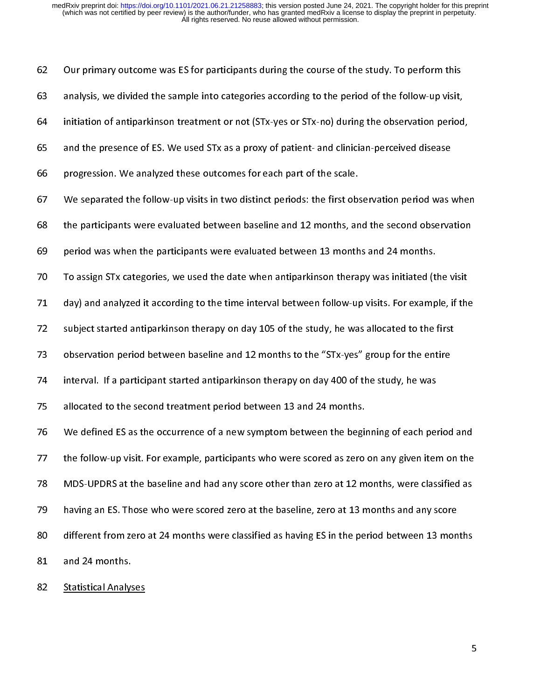| 62 | Our primary outcome was ES for participants during the course of the study. To perform this       |
|----|---------------------------------------------------------------------------------------------------|
| 63 | analysis, we divided the sample into categories according to the period of the follow-up visit,   |
| 64 | initiation of antiparkinson treatment or not (STx-yes or STx-no) during the observation period,   |
| 65 | and the presence of ES. We used STx as a proxy of patient- and clinician-perceived disease        |
| 66 | progression. We analyzed these outcomes for each part of the scale.                               |
| 67 | We separated the follow-up visits in two distinct periods: the first observation period was when  |
| 68 | the participants were evaluated between baseline and 12 months, and the second observation        |
| 69 | period was when the participants were evaluated between 13 months and 24 months.                  |
| 70 | To assign STx categories, we used the date when antiparkinson therapy was initiated (the visit    |
| 71 | day) and analyzed it according to the time interval between follow-up visits. For example, if the |
| 72 | subject started antiparkinson therapy on day 105 of the study, he was allocated to the first      |
| 73 | observation period between baseline and 12 months to the "STx-yes" group for the entire           |
| 74 | interval. If a participant started antiparkinson therapy on day 400 of the study, he was          |
| 75 | allocated to the second treatment period between 13 and 24 months.                                |
| 76 | We defined ES as the occurrence of a new symptom between the beginning of each period and         |
| 77 | the follow-up visit. For example, participants who were scored as zero on any given item on the   |
| 78 | MDS-UPDRS at the baseline and had any score other than zero at 12 months, were classified as      |
| 79 | having an ES. Those who were scored zero at the baseline, zero at 13 months and any score         |
| 80 | different from zero at 24 months were classified as having ES in the period between 13 months     |
| 81 | and 24 months.                                                                                    |
| 82 | <b>Statistical Analyses</b>                                                                       |
|    |                                                                                                   |
|    | 5                                                                                                 |
|    |                                                                                                   |

82 Statistical Analyses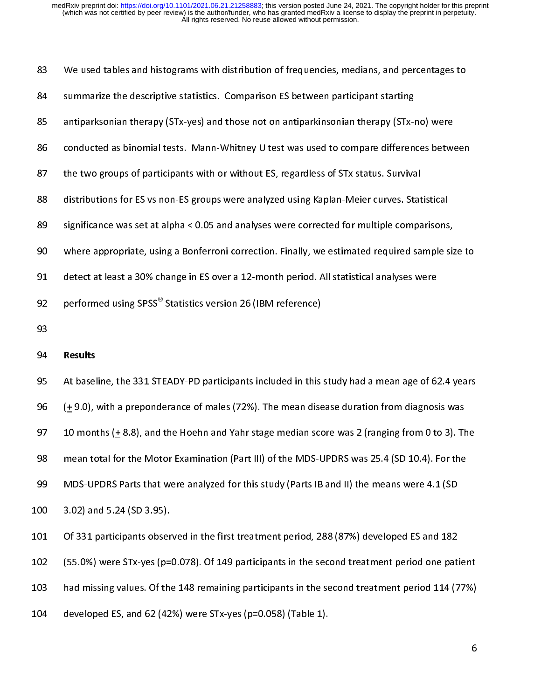| 83  | We used tables and histograms with distribution of frequencies, medians, and percentages to      |  |  |  |  |  |  |  |  |
|-----|--------------------------------------------------------------------------------------------------|--|--|--|--|--|--|--|--|
| 84  | summarize the descriptive statistics. Comparison ES between participant starting                 |  |  |  |  |  |  |  |  |
| 85  | antiparksonian therapy (STx-yes) and those not on antiparkinsonian therapy (STx-no) were         |  |  |  |  |  |  |  |  |
| 86  | conducted as binomial tests. Mann-Whitney U test was used to compare differences between         |  |  |  |  |  |  |  |  |
| 87  | the two groups of participants with or without ES, regardless of STx status. Survival            |  |  |  |  |  |  |  |  |
| 88  | distributions for ES vs non-ES groups were analyzed using Kaplan-Meier curves. Statistical       |  |  |  |  |  |  |  |  |
| 89  | significance was set at alpha < 0.05 and analyses were corrected for multiple comparisons,       |  |  |  |  |  |  |  |  |
| 90  | where appropriate, using a Bonferroni correction. Finally, we estimated required sample size to  |  |  |  |  |  |  |  |  |
| 91  | detect at least a 30% change in ES over a 12-month period. All statistical analyses were         |  |  |  |  |  |  |  |  |
| 92  | performed using SPSS <sup>®</sup> Statistics version 26 (IBM reference)                          |  |  |  |  |  |  |  |  |
| 93  |                                                                                                  |  |  |  |  |  |  |  |  |
| 94  | Results                                                                                          |  |  |  |  |  |  |  |  |
| 95  | At baseline, the 331 STEADY-PD participants included in this study had a mean age of 62.4 years  |  |  |  |  |  |  |  |  |
| 96  | $(± 9.0)$ , with a preponderance of males (72%). The mean disease duration from diagnosis was    |  |  |  |  |  |  |  |  |
| 97  | 10 months $(+ 8.8)$ , and the Hoehn and Yahr stage median score was 2 (ranging from 0 to 3). The |  |  |  |  |  |  |  |  |
| 98  | mean total for the Motor Examination (Part III) of the MDS-UPDRS was 25.4 (SD 10.4). For the     |  |  |  |  |  |  |  |  |
| 99  | MDS-UPDRS Parts that were analyzed for this study (Parts IB and II) the means were 4.1 (SD       |  |  |  |  |  |  |  |  |
| 100 | 3.02) and 5.24 (SD 3.95).                                                                        |  |  |  |  |  |  |  |  |
| 101 | Of 331 participants observed in the first treatment period, 288 (87%) developed ES and 182       |  |  |  |  |  |  |  |  |
| 102 | (55.0%) were STx-yes (p=0.078). Of 149 participants in the second treatment period one patient   |  |  |  |  |  |  |  |  |
| 103 | had missing values. Of the 148 remaining participants in the second treatment period 114 (77%)   |  |  |  |  |  |  |  |  |
| 104 | developed ES, and 62 (42%) were STx-yes (p=0.058) (Table 1).                                     |  |  |  |  |  |  |  |  |
|     | 6                                                                                                |  |  |  |  |  |  |  |  |
|     |                                                                                                  |  |  |  |  |  |  |  |  |
|     |                                                                                                  |  |  |  |  |  |  |  |  |

104 developed ES, and 62 (42%) were STx-yes (p=0.058) (Table 1).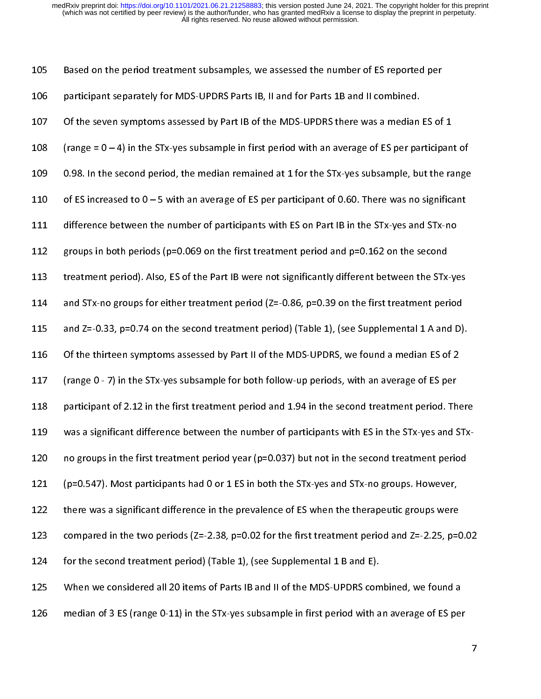||<br>|<br>|<br>| 105 106 participant separately for MDS-UPDRS Parts IB, II and for Parts 1B and II combined.<br>
107 Of the seven symptoms assessed by Part IB of the MDS-UPDRS there was a median ES of<br>
108 (range = 0 – 4) in the STx-yes subsampl 107 Of the seven symptoms assessed by Part IB of the MDS-UPDRS there was a median<br>108 (range = 0 – 4) in the STx-yes subsample in first period with an average of ES per pa<br>109 0.98. In the second period, the median remain 108 (range =  $0 - 4$ ) in the STx-yes subsample in first period with an average of ES per participan<br>109 0.98. In the second period, the median remained at 1 for the STx-yes subsample, but the ra<br>110 of ES increased to  $0 -$ 109 0.98. In the second period, the median remained at 1 for the STx-yes subsample, but the range<br>110 of ES increased to 0 – 5 with an average of ES per participant of 0.60. There was no significant<br>111 difference between 110 of ES increased to 0 – 5 with an average of ES per participant of 0.60. There was no significant<br>111 difference between the number of participants with ES on Part IB in the STx-yes and STx-no<br>112 groups in both periods 111 difference between the number of participants with ES on Part IB in the STx-yes and STx-no<br>112 groups in both periods (p=0.069 on the first treatment period and p=0.162 on the second<br>113 treatment period). Also, ES of groups in both periods (p=0.069 on the first treatment period and p=0.162 on the second<br>113 treatment period). Also, ES of the Part IB were not significantly different between the STx-ye<br>114 and STx-no groups for either t 113 treatment period). Also, ES of the Part IB were not significantly different between the STx-<br>114 and STx-no groups for either treatment period (Z=-0.86, p=0.39 on the first treatment per<br>115 and Z=-0.33, p=0.74 on the and STx-no groups for either treatment period (Z=-0.86, p=0.39 on the first treatment period<br>
115 and Z=-0.33, p=0.74 on the second treatment period) (Table 1), (see Supplemental 1 A and D).<br>
116 Of the thirteen symptoms a and Z=-0.33, p=0.74 on the second treatment period) (Table 1), (see Supplemental 1 A and D)<br>116 Of the thirteen symptoms assessed by Part II of the MDS-UPDRS, we found a median ES of 2<br>117 (range 0 - 7) in the STx-yes subs 116 of the thirteen symptoms assessed by Part II of the MDS-UPDRS, we found a median ES of 2<br>117 (range 0 - 7) in the STx-yes subsample for both follow-up periods, with an average of ES per<br>118 participant of 2.12 in the f 117 (range 0 - 7) in the STx-yes subsample for both follow-up periods, with an average of ES per<br>118 participant of 2.12 in the first treatment period and 1.94 in the second treatment period. The<br>119 was a significant dif participant of 2.12 in the first treatment period and 1.94 in the second treatment period. Th<br>
118 was a significant difference between the number of participants with ES in the STx-yes and S<br>
120 no groups in the first tr was a significant difference between the number of participants with ES in the STx-yes and STx-<br>120 no groups in the first treatment period year (p=0.037) but not in the second treatment period<br>121 (p=0.547). Most particip 121 (p=0.547). Most participants had 0 or 1 ES in both the STx-yes and STx-no groups. However,<br>122 there was a significant difference in the prevalence of ES when the therapeutic groups were<br>123 compared in the two periods there was a significant difference in the prevalence of ES when the therapeutic groups were<br>
123 compared in the two periods (Z=-2.38, p=0.02 for the first treatment period and Z=-2.25, p=<br>
124 for the second treatment per 123 compared in the two periods (2=-2.38, p=0.02 for the first treatment period and 2=-2.25, p=0.<br>124 for the second treatment period) (Table 1), (see Supplemental 1 B and E).<br>125 When we considered all 20 items of Parts 123 compared in the two periods ( $Z=-2.38$ , p=0.02 for the first treatment period and  $Z=-2.25$ , p=0.02 124 for the second treatment period (Table 1), (see Supplemental 1 B and E).<br>125 When we considered all 20 items of Parts IB and II of the MDS-UPDRS combined, we found a<br>126 median of 3 ES (range 0-11) in the STx-yes subsa 125 When we considered all 20 items of Parts IB and II of the MDS-UPDRS com<br>126 median of 3 ES (range 0-11) in the STx-yes subsample in first period with a 126 median of 3 ES (range 0-11) in the STx-yes subsample in first period with an average of ES per<br>126 median of 3 ES (range 0-11) in the STx-yes subsample in first period with an average of ES per

 $12.6$  median of 3  $\pm$  yes subsample in first period with an average of ES period with an average of ES period with an average of ES period with an average of ES period with an average of ES period with an average of ES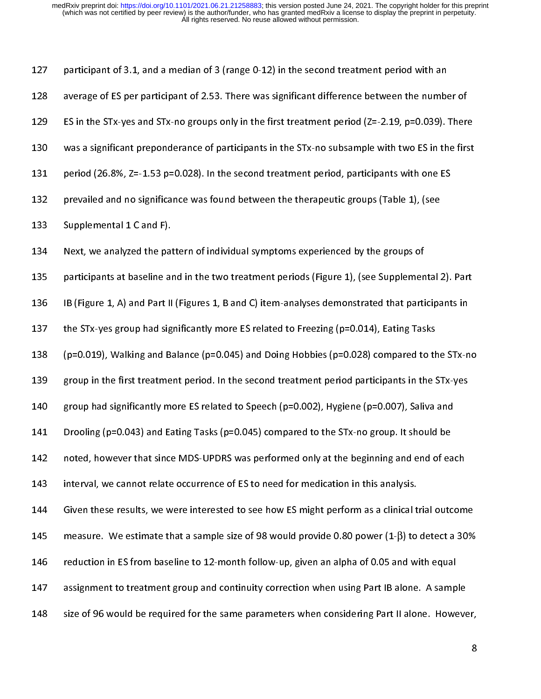| 127 | participant of 3.1, and a median of 3 (range 0-12) in the second treatment period with an            |
|-----|------------------------------------------------------------------------------------------------------|
| 128 | average of ES per participant of 2.53. There was significant difference between the number of        |
| 129 | ES in the STx-yes and STx-no groups only in the first treatment period (Z=-2.19, p=0.039). There     |
| 130 | was a significant preponderance of participants in the STx-no subsample with two ES in the first     |
| 131 | period (26.8%, Z=-1.53 p=0.028). In the second treatment period, participants with one ES            |
| 132 | prevailed and no significance was found between the therapeutic groups (Table 1), (see               |
| 133 | Supplemental 1 C and F).                                                                             |
| 134 | Next, we analyzed the pattern of individual symptoms experienced by the groups of                    |
| 135 | participants at baseline and in the two treatment periods (Figure 1), (see Supplemental 2). Part     |
| 136 | IB (Figure 1, A) and Part II (Figures 1, B and C) item-analyses demonstrated that participants in    |
| 137 | the STx-yes group had significantly more ES related to Freezing (p=0.014), Eating Tasks              |
| 138 | (p=0.019), Walking and Balance (p=0.045) and Doing Hobbies (p=0.028) compared to the STx-no          |
| 139 | group in the first treatment period. In the second treatment period participants in the STx-yes      |
| 140 | group had significantly more ES related to Speech (p=0.002), Hygiene (p=0.007), Saliva and           |
| 141 | Drooling (p=0.043) and Eating Tasks (p=0.045) compared to the STx-no group. It should be             |
| 142 | noted, however that since MDS-UPDRS was performed only at the beginning and end of each              |
| 143 | interval, we cannot relate occurrence of ES to need for medication in this analysis.                 |
| 144 | Given these results, we were interested to see how ES might perform as a clinical trial outcome      |
| 145 | measure. We estimate that a sample size of 98 would provide 0.80 power (1- $\beta$ ) to detect a 30% |
| 146 | reduction in ES from baseline to 12-month follow-up, given an alpha of 0.05 and with equal           |
| 147 | assignment to treatment group and continuity correction when using Part IB alone. A sample           |
| 148 | size of 96 would be required for the same parameters when considering Part II alone. However,        |
|     | 8                                                                                                    |
|     |                                                                                                      |
|     |                                                                                                      |
|     |                                                                                                      |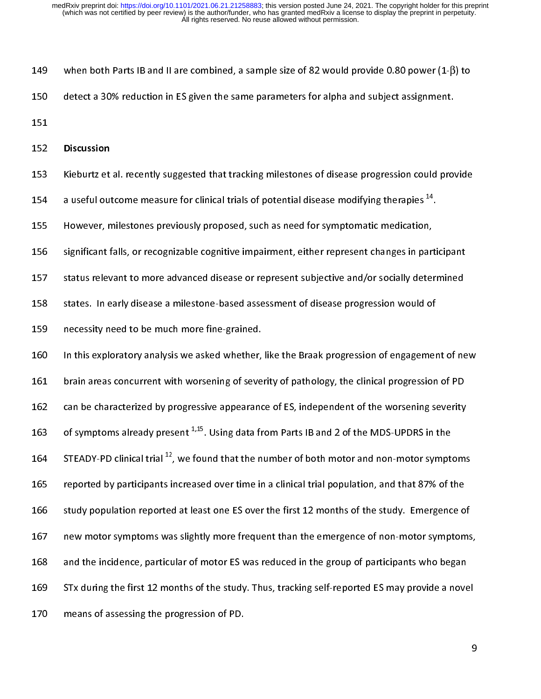$\frac{1}{2}$ 149 when both Parts IB and II are combined, a sample size of 82 would provide 0.80 power (1-β) to<br>150 detect a 30% reduction in ES given the same parameters for alpha and subject assignment.<br>151 Discussion<br>153 Kieburtz et 151<br>152 **Discussion**<br>153 Kieburtz et al. recently suggested that tracking milestones of disease progression could prov<br>154 a useful outcome measure for clinical trials of potential disease modifying therapies <sup>14</sup>. 152<br>153<br>154<br>155 152 Discussion<br>153 Kieburtz et<br>154 a useful out<br>155 However, n<br>156 significant f Kieburtz et al. recently suggested that tracking milestones of disease progression could provide<br>
a useful outcome measure for clinical trials of potential disease modifying therapies <sup>14</sup>.<br>
However, milestones previously a useful outcome measure for clinical trials of potential disease modifying therapies <sup>14</sup>.<br>155 . However, milestones previously proposed, such as need for symptomatic medication,<br>156 . significant falls, or recognizable c 156 significant falls, or recognizable cognitive impairment, either represent changes in part<br>157 status relevant to more advanced disease or represent subjective and/or socially deter<br>158 states. In early disease a milest 157 status relevant to more advanced disease or represent subjective and/or socially determined<br>158 states. In early disease a milestone-based assessment of disease progression would of<br>159 necessity need to be much more f 158 states. In early disease a milestone-based assessment of disease progression would of<br>159 necessity need to be much more fine-grained.<br>160 In this exploratory analysis we asked whether, like the Braak progression of en 159 necessity need to be much more fine-grained.<br>160 In this exploratory analysis we asked whether, like the Braak progression of engagemer<br>161 brain areas concurrent with worsening of severity of pathology, the clinical p 160 In this exploratory analysis we asked whether,<br>161 brain areas concurrent with worsening of seve<br>162 can be characterized by progressive appearance<br>163 of symptoms already present  $^{1,15}$ . Using data fr 161 brain areas concurrent with worsening of severity of pathology, the clinical progression of PD<br>162 can be characterized by progressive appearance of ES, independent of the worsening severity<br>163 of symptoms already pre 162 can be characterized by progressive appearance of ES, independent of the worsening severity<br>163 of symptoms already present <sup>1,15</sup>. Using data from Parts IB and 2 of the MDS-UPDRS in the<br>164 STEADY-PD clinical trial <sup>1</sup> 163 of symptoms already present <sup>1,15</sup>. Using data from Parts IB and 2 of the MDS-UPDRS in the<br>164 STEADY-PD clinical trial <sup>12</sup>, we found that the number of both motor and non-motor symptoms<br>165 reported by participants i of symptoms already present <sup>1,15</sup>. Using data from Parts IB and 2 of the MDS-UPDRS in the<br>164 STEADY-PD clinical trial <sup>12</sup>, we found that the number of both motor and non-motor sympt<br>165 reported by participants increase STEADY-PD clinical trial <sup>42</sup>, we found that the number of both motor and non-motor symptoms<br>165 reported by participants increased over time in a clinical trial population, and that 87% of the<br>166 study population reporte 166 study population reported at least one ES over the first 12 months of the study. Emergence o<br>167 new motor symptoms was slightly more frequent than the emergence of non-motor symptom<br>168 and the incidence, particular o 167 new motor symptoms was slightly more frequent than the emergence of non-motor symptoms<br>168 and the incidence, particular of motor ES was reduced in the group of participants who began<br>169 STx during the first 12 months 168 and the incidence, particular of motor ES was reduced in the group of participants who began<br>169 STx during the first 12 months of the study. Thus, tracking self-reported ES may provide a novel<br>170 means of assessing t 169 STx during the first 12 months of the study. Thus, tracking self-reported ES may provide a nove<br>170 means of assessing the progression of PD. 170 State and the study. Thus, tracking the study. Thus, tracking self-reported ES may provide a novel<br>170 States of assessing the progression of PD.

170 means of assessing the progression of PD.<br>170 means of PD.<br>170 means of PD.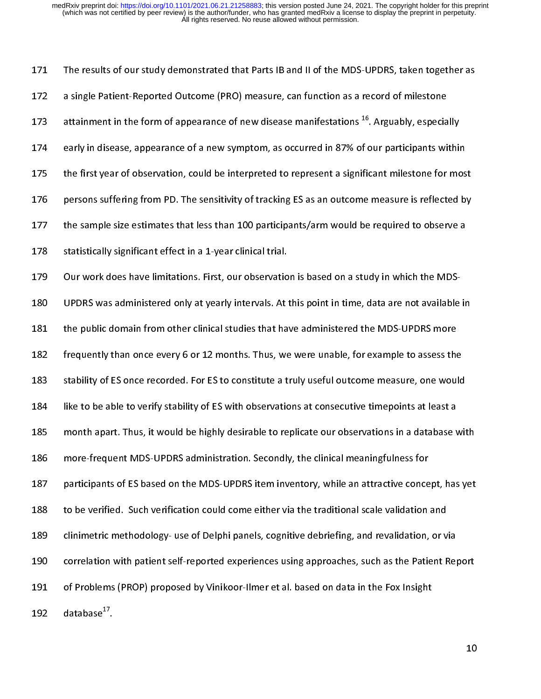$\frac{1}{2}$ a single Patient-Reported Outcome (PRO) measure, can function as a record of milestone<br>173 attainment in the form of appearance of new disease manifestations <sup>16</sup>. Arguably, especially<br>174 early in disease, appearance of a attainment in the form of appearance of new disease manifestations <sup>16</sup>. Arguably, especia<br>174 early in disease, appearance of a new symptom, as occurred in 87% of our participants wi<br>175 the first year of observation, cou attainment in the form of appearance of new disease manifestations <sup>20</sup>. Arguably, especially<br>174 early in disease, appearance of a new symptom, as occurred in 87% of our participants within<br>175 the first year of observati 175 the first year of observation, could be interpreted to represent a significant milestone for mos<br>176 persons suffering from PD. The sensitivity of tracking ES as an outcome measure is reflected by<br>177 the sample size e 176 persons suffering from PD. The sensitivity of tracking ES as an outcome measure is reflected by<br>177 the sample size estimates that less than 100 participants/arm would be required to observe a<br>178 statistically signifi 177 the sample size estimates that less than 100 participants/arm would be required to observe a<br>178 statistically significant effect in a 1-year clinical trial.<br>179 Our work does have limitations. First, our observation i 178 statistically significant effect in a 1-year clinical trial.<br>179 Our work does have limitations. First, our observation is based on a study in which the MDS-<br>180 UPDRS was administered only at yearly intervals. At this 212 Statistically significal trace in a 1-year clinical trial.<br>
179 Our work does have limitations. First, our observatio<br>
180 UPDRS was administered only at yearly intervals. At the<br>
181 the public domain from other clini 183 stability of ES once recorded. For ES to constitute a truly useful outcome measure, one would 181 the public domain from other clinical studies that have administered the MDS-UPDRS more<br>182 frequently than once every 6 or 12 months. Thus, we were unable, for example to assess the<br>183 stability of ES once recorded. 182 frequently than once every 6 or 12 months. Thus, we were unable, for example to assess the<br>183 stability of ES once recorded. For ES to constitute a truly useful outcome measure, one woul<br>184 like to be able to verify 183 stability of ES once recorded. For ES to constitute a truly useful outcome measure, one would<br>184 like to be able to verify stability of ES with observations at consecutive timepoints at least a<br>185 month apart. Thus, 184 like to be able to verify stability of ES with observations at consecutive timepoints at least a<br>185 month apart. Thus, it would be highly desirable to replicate our observations in a database wit<br>186 more-frequent MDS 185 month apart. Thus, it would be highly desirable to replicate our observations in a database v<br>186 more-frequent MDS-UPDRS administration. Secondly, the clinical meaningfulness for<br>187 participants of ES based on the MD more-frequent MDS-UPDRS administration. Secondly, the clinical meaningfulness for<br>187 participants of ES based on the MDS-UPDRS item inventory, while an attractive concept, has yet<br>188 to be verified. Such verification cou more-map and the MDS-UPDRS item inventory, while an attractive conce<br>188 to be verified. Such verification could come either via the traditional scale validation<br>189 clinimetric methodology- use of Delphi panels, cognitive 188 to be verified. Such verification could come either via the traditional scale validation and<br>189 clinimetric methodology- use of Delphi panels, cognitive debriefing, and revalidation, or via<br>190 correlation with patien 189 clinimetric methodology- use of Delphi panels, cognitive debriefing, and revalidation, or v<br>190 correlation with patient self-reported experiences using approaches, such as the Patient F<br>191 of Problems (PROP) proposed 189 correlation with patient self-reported experiences using approaches, such as the Patient Rep of Problems (PROP) proposed by Vinikoor-Ilmer et al. based on data in the Fox Insight database<sup>17</sup>. 191 of Problems (PROP) proposed by Vinikoor-Ilmer et al. based on data in the Fox Insight<br>192 database<sup>17</sup>.<br>10 192 database<sup>17</sup>. 192 database<sup>4</sup>'.<br>**192**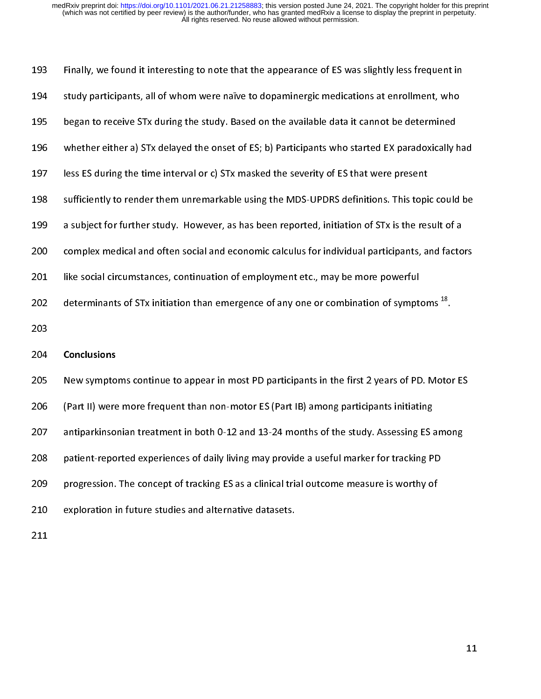| 193 | Finally, we found it interesting to note that the appearance of ES was slightly less frequent in    |
|-----|-----------------------------------------------------------------------------------------------------|
| 194 | study participants, all of whom were naïve to dopaminergic medications at enrollment, who           |
| 195 | began to receive STx during the study. Based on the available data it cannot be determined          |
| 196 | whether either a) STx delayed the onset of ES; b) Participants who started EX paradoxically had     |
| 197 | less ES during the time interval or c) STx masked the severity of ES that were present              |
| 198 | sufficiently to render them unremarkable using the MDS-UPDRS definitions. This topic could be       |
| 199 | a subject for further study. However, as has been reported, initiation of STx is the result of a    |
| 200 | complex medical and often social and economic calculus for individual participants, and factors     |
| 201 | like social circumstances, continuation of employment etc., may be more powerful                    |
| 202 | determinants of STx initiation than emergence of any one or combination of symptoms <sup>18</sup> . |
| 203 |                                                                                                     |
| 204 | <b>Conclusions</b>                                                                                  |
| 205 | New symptoms continue to appear in most PD participants in the first 2 years of PD. Motor ES        |
| 206 | (Part II) were more frequent than non-motor ES (Part IB) among participants initiating              |
| 207 | antiparkinsonian treatment in both 0-12 and 13-24 months of the study. Assessing ES among           |
| 208 | patient-reported experiences of daily living may provide a useful marker for tracking PD            |
| 209 | progression. The concept of tracking ES as a clinical trial outcome measure is worthy of            |
| 210 | exploration in future studies and alternative datasets.                                             |
| 211 |                                                                                                     |
|     |                                                                                                     |
|     |                                                                                                     |
|     |                                                                                                     |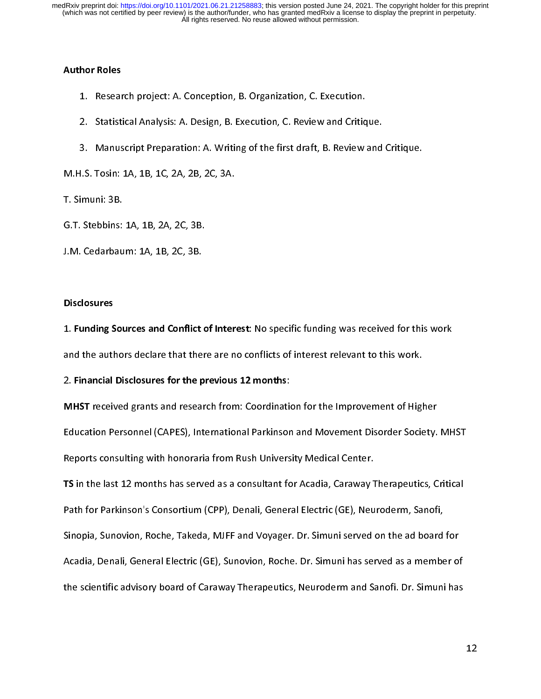# $\frac{1}{2}$ Author Roles

- 
- 2. Statistical Analysis: A. Design, B. Execution, C. Review and Critiq<br>3. Manuscript Preparation: A. Writing of the first draft, B. Review<br>1.S. Tosin: 1A, 1B, 1C, 2A, 2B, 2C, 3A.<br>imuni: 3B.
- 2. Januarium, Januarium, Barcantin, Barcantin, Barcantin, A. Design, B. Review and<br>3. Manuscript Preparation: A. Writing of the first draft, B. Review and<br>1.S. Tosin: 1A, 1B, 1C, 2A, 2B, 2C, 3A.<br>imuni: 3B.<br>Stebbins: 1A, 1B

3. Manuscript Preparation: A. W. Manuscript Preparation: A. W. W. W. Stebbins: 1A, 1B, 2A, 2C, 3B.<br>3. Stebbins: 1A, 1B, 2A, 2C, 3B.<br>3. Cedarbaum: 1A, 1B, 2C, 3B.

- M.H.S. Tosin: 1A, 1B, 1C, 2A, 2B, 2C, 3A. mammara<br>G.T. Stebbins:<br>J.M. Cedarbau<br>Disclosures
- G. M. Cedarbaum: 1A, 1B, 2C, 3B.<br>Disclosures<br>1. Funding Sources and Conflict c

### **Disclosures**

 $\Sigma$ <br>Disclosures<br>1. Funding Sources and Conflict<br>and the authors declare that the  $\begin{bmatrix} 1 & 1 \\ 1 & 1 \\ 1 & 1 \end{bmatrix}$ 

1. Funding Sources and Conflict of Interest: No specific funding was received for this work<br>and the authors declare that there are no conflicts of interest relevant to this work.<br>2. Financial Disclosures for the previous 1 2. Financial Disclosures for the previous 12 months:<br>MHST received grants and research from: Coordination for the Improvement of High<br>Education Personnel (CAPES), International Parkinson and Movement Disorder Socie<br>Renorts 2. Financial Disclosures for the previous 12 months:<br>MHST received grants and research from: Coordinatio<br>Education Personnel (CAPES), International Parkinsor<br>Reports consulting with honoraria from Rush Univers<br>TS in the la MHST received grants and research from: Coordination for the Improvement of Ingher<br>Education Personnel (CAPES), International Parkinson and Movement Disorder Society.<br>Reports consulting with honoraria from Rush University

Reports consulting with honoraria from Rush University Medical Center.<br> **TS** in the last 12 months has served as a consultant for Acadia, Caraway Therapeutics, Critical<br>
Path for Parkinson's Consortium (CPP), Denali, Gener Reports consulting with the term in the consultant for Acadia, Caraway 1<br>Reports in the last 12 months has served as a consultant for Acadia, Caraway 1<br>Path for Parkinson's Consortium (CPP), Denali, General Electric (GE), TS in the last 12 months has served as a consultant for Acadia, caraway Therapeutics, Critical<br>Path for Parkinson's Consortium (CPP), Denali, General Electric (GE), Neuroderm, Sanofi,<br>Sinopia, Sunovion, Roche, Takeda, MJFF Path for Parkinson's Consortium (CPP), Denali, General Electric (GE), Neuroderm, Sanofi,<br>Sinopia, Sunovion, Roche, Takeda, MJFF and Voyager. Dr. Simuni served on the ad board<br>Acadia, Denali, General Electric (GE), Sunovion Sinopia, Sunomia, Sunomia, Markon, Markon, Pager. Dr. Simuni has served as a member of<br>Acadia, Denali, General Electric (GE), Sunovion, Roche. Dr. Simuni has served as a member of<br>the scientific advisory board of Caraway T Acadia, Denalistic advisory board of Caraway Therapeutics, Neuroderm and Sanofi. Dr. Simuni has serientific advisory board of Caraway Therapeutics, Neuroderm and Sanofi. Dr. Simuni has a member of  $\alpha$ the scientific advisory board of Caraway Therapeutics, Neuroderm and Sanofi. Dr. Simulation and Sanofi. Dr. Si<br>Therapeutics, Neuroderm and Sanofice and Sanofice and Sanofice and Sanofice and Sanofice and Sanofice and San<br>T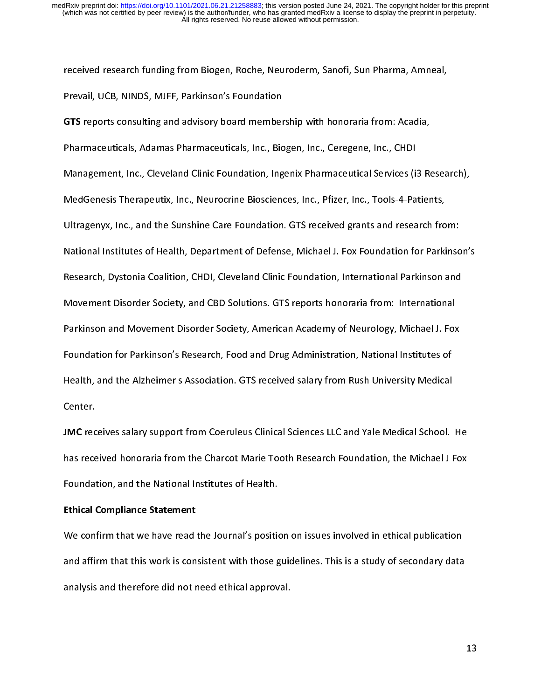r<br>|<br>|

revail, UCB, NINDS, MJFF, Parkinson's Foundation<br> **GTS** reports consulting and advisory board membership with honoraria from: Acadia,<br>
Pharmaceuticals, Adamas Pharmaceuticals, Inc., Biogen, Inc., Ceregene, Inc., CHDI<br>
Mana Frevan, Seb, MNDS, MSFF, Farkinson's Foundation<br>GTS reports consulting and advisory board member<br>Pharmaceuticals, Adamas Pharmaceuticals, Inc., Bic<br>Management, Inc., Cleveland Clinic Foundation, Ing<br>MedGenesis Therapeutix. GTS reports consulting and advisory board membership with honoraria from: Acadia,<br>Pharmaceuticals, Adamas Pharmaceuticals, Inc., Biogen, Inc., Ceregene, Inc., CHDI<br>Management, Inc., Cleveland Clinic Foundation, Ingenix Pha Management, Inc., Cleveland Clinic Foundation, Ingenix Pharmaceutical Services (is<br>MedGenesis Therapeutix, Inc., Neurocrine Biosciences, Inc., Pfizer, Inc., Tools-4-Pa<br>Ultragenyx, Inc., and the Sunshine Care Foundation. GT MedGenesis Therapeutix, Inc., Neurocrine Biosciences, Inc., Pfizer, Inc., Tools-4-Patients,<br>MedGenesis Therapeutix, Inc., Neurocrine Biosciences, Inc., Pfizer, Inc., Tools-4-Patients,<br>Ultragenyx, Inc., and the Sunshine Car MEDERGENESIS THER<sub>perator</sub>, Inc., Therapeutical Economics, Inc., Therapida, Inc., Inc., Inc., Inc., Inc., Inc., I<br>Mational Institutes of Health, Department of Defense, Michael J. Fox Foundation for Parki<br>Research, Dystonia Ultragenties of Health, Department of Defense, Michael J. Fox Foundation for Parkinson<br>Research, Dystonia Coalition, CHDI, Cleveland Clinic Foundation, International Parkinson and<br>Movement Disorder Society, and CBD Solutio National Institutional Collisticity, Department of Detaile, Michael Area, Michael J. Foundational Parkinson and<br>Novement Disorder Society, and CBD Solutions. GTS reports honoraria from: International<br>Parkinson and Movement Movement Disorder Society, and CBD Solutions. GTS reports honoraria from: International<br>Parkinson and Movement Disorder Society, American Academy of Neurology, Michael J. Fox<br>Foundation for Parkinson's Research, Food and D Parkinson and Movement Disorder Society, American Academy of Neurology, Michael J. Fox<br>Foundation for Parkinson's Research, Food and Drug Administration, National Institutes of<br>Health, and the Alzheimer's Association. GTS Parkinson and Movement Disorder Disord, Machinemy and Morenter Captions<br>Proundation for Parkinson's Research, Food and Drug Administration, National Institutes of<br>Health, and the Alzheimer's Association. GTS received salar Foulth, and the Alzheimer's Association. GTS received salary from Rush University Medical<br>Center.<br>JMC receives salary support from Coeruleus Clinical Sciences LLC and Yale Medical School.<br>has received honoraria from the Ch

Health, and the Alzheimer's Association. GTS received salary from Rush University Medical<br>Center.<br>JMC receives salary support from Coeruleus Clinical Sciences LLC and Yale Medical School.<br>has received honoraria from the Ch JMC rec<br>JMC rec<br>has rece<br>Foundat<br>Ethical ( Jame receives salary support from Coeruleus Clinical Sciences LLC and Tale Medical School. The<br>has received honoraria from the Charcot Marie Tooth Research Foundation, the Michael J Fox<br>Foundation, and the National Institu

has received honoraria from the Charcot Marie Tooth Research Poundation, and the National Institutes of Health.<br>Ethical Compliance Statement<br>We confirm that we have read the Journal's position on issues involved in ethical Ethical Compliance Statement<br>We confirm that we have read the Journal's position<br>and affirm that this work is consistent with those g<br>analysis and therefore did not need ethical approv Ethical Compliance Statement<br>We confirm that we have read<br>and affirm that this work is con<br>analysis and therefore did not r and affirm that this work is consistent with those guidelines. This is a study of secondary data<br>analysis and therefore did not need ethical approval. analysis and therefore did not need ethical approval.<br>Analysis and therefore did not need ethical approval. analysis and therefore did not need ethical approval.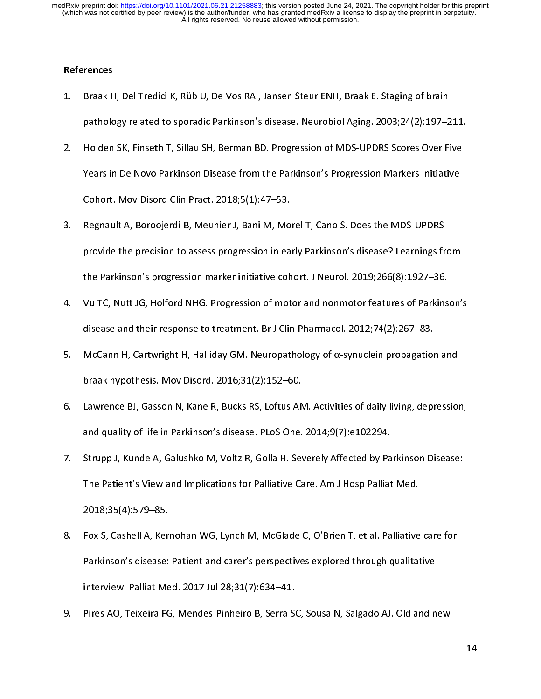## References

- $\begin{bmatrix} 1 \\ 1 \end{bmatrix}$  $1.$
- pathology related to sporadic Parkinson's disease. Neurobiol Aging. 2003;24(2):197–2<br>2. Holden SK, Finseth T, Sillau SH, Berman BD. Progression of MDS-UPDRS Scores Over Fi<br>1. Years in De Novo Parkinson Disease from the Par pathology related to sponalism relation to all anti-terms (anglo-2004);24(2):24(2):24(2):24):221.<br>Holden SK, Finseth T, Sillau SH, Berman BD. Progression of MDS-UPDRS Scores Over Five<br>Years in De Novo Parkinson Disease fro 2. Years in De Novo Parkinson Disease from the Parkinson's Progression Markers Initiative<br>Cohort. Mov Disord Clin Pract. 2018;5(1):47–53.<br>3. Regnault A, Boroojerdi B, Meunier J, Bani M, Morel T, Cano S. Does the MDS-UPDRS<br>
- Years in De Novo Parkinson Disease from the Parkinson Progression Institute Initiative<br>Cohort. Mov Disord Clin Pract. 2018;5(1):47–53.<br>Regnault A, Boroojerdi B, Meunier J, Bani M, Morel T, Cano S. Does the MDS-UPDRS<br>provid Constanting Disord Clinian Courts, Degnault A, Boroojerdi B, Meunier J, Bani M, Mo<br>provide the precision to assess progression in ea<br>the Parkinson's progression marker initiative coh<br>Vu TC. Nutt JG. Holford NHG. Progressio 3. Provide the precision to assess progression in early Parkinson's disease? Learnings fr<br>the Parkinson's progression marker initiative cohort. J Neurol. 2019;266(8):1927–36.<br>4. Vu TC, Nutt JG, Holford NHG. Progression of
- provide the precision to assess progression to any predict of the parkinson's progression marker initiative cohort. J Neurol. 2019;266(8):1927–36.<br>Vu TC, Nutt JG, Holford NHG. Progression of motor and nonmotor features of Vu TC, Nutt JG, Holford NHG. Progression of motor and nonmotor features of Parkins<br>disease and their response to treatment. Br J Clin Pharmacol. 2012;74(2):267–83.<br>McCann H, Cartwright H, Halliday GM. Neuropathology of  $\$
- disease and their response to treatment. Br J Clin Pharmacol. 2012;74(2):267–83.<br>
5. McCann H, Cartwright H, Halliday GM. Neuropathology of  $\alpha$ -synuclein propagation and<br>
braak hypothesis. Mov Disord. 2016;31(2):152–60.<br> disease and the trap their response to treatment. Br J Clin Pharmacol. 2012, 2012<br>McCann H, Cartwright H, Halliday GM. Neuropathology of α-synuclein propagation<br>braak hypothesis. Mov Disord. 2016;31(2):152–60.<br>Lawrence BJ
- 5. Braak hypothesis. Mov Disord. 2016;31(2):152–60.<br>5. Lawrence BJ, Gasson N, Kane R, Bucks RS, Loftus AM. Activities of daily living, depression<br>3. Strupp J. Kunde A. Galushko M. Voltz R. Golla H. Severely Affected by Par braak hypothesis. Mov Disord. 2016;31(2):152–60.<br>Lawrence BJ, Gasson N, Kane R, Bucks RS, Loftus AM. Activities of daily living, depression,<br>and quality of life in Parkinson's disease. PLoS One. 2014;9(7):e102294.<br>Strupp J
- and quality of life in Parkinson's disease. PLoS One. 2014;9(7):e102294.<br>7. Strupp J, Kunde A, Galushko M, Voltz R, Golla H. Severely Affected by Parkinson Disease:<br>The Patient's View and Implications for Palliative Care. and J.<br>Strupp J, Kunde A, Galushko M, Voltz R, Golla H. Severely Affected by Pa<br>The Patient's View and Implications for Palliative Care. Am J Hosp Palliat<br>2018;35(4):579–85.<br>Fox S. Cashell A. Kernohan WG. Lynch M. McGlade The Patient's View and Implications for Palliative Care. Am J Hosp Palliat Med.<br>2018;35(4):579–85.<br>8. Fox S, Cashell A, Kernohan WG, Lynch M, McGlade C, O'Brien T, et al. Palliative care for<br>Parkinson's disease: Patient an
- The Patient Constant Constant Constants (2018;35(4):579–85.<br>The Satisface Care. Am Anti-Finish Patient Specifications for Palliative Parkinson's disease: Patient and carer's perspectives explored through qualitations inter Fox S, Cashell A, Keri<br>Parkinson's disease:<br>interview. Palliat Me<br>Pires AO. Teixeira FG 8. Fox S, Cashell A, McMellan Wey, Lynch M, McGlade C, O'Brien C, O'Brien Milane Cancerer<br>Parkinson's disease: Patient and carer's perspectives explored through qualitative<br>interview. Palliat Med. 2017 Jul 28;31(7):634–41. interview. Palliat Med. 2017 Jul 28;31(7):634–41.<br>Pires AO, Teixeira FG, Mendes-Pinheiro B, Serra SC, Sousa N, Salgado AJ. Old and n
- Pires AO, Teixeira FG, Mendes-Pinheiro B, Serra So.<br>Pires AO, Teixeira FG, Mendes-Pinheiro B, Serra So. 9. Pires AO, Teixeira FG, Mendes-Pinheiro B, Serra SC, Sousa N, Salgado AJ. Old and new

14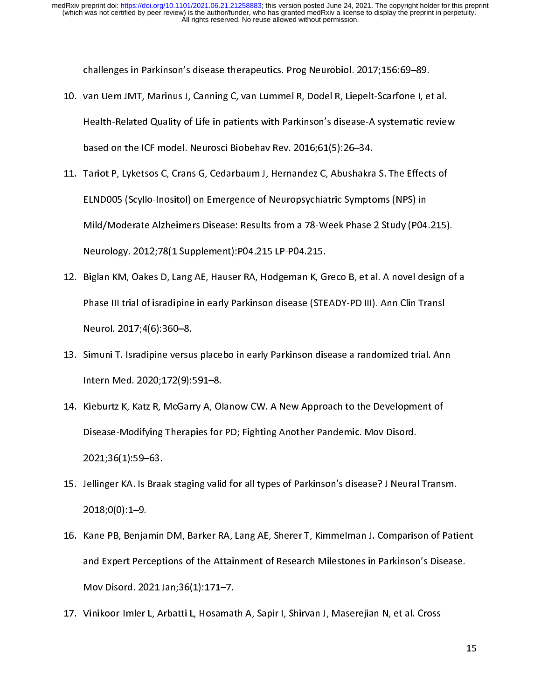- $\frac{1}{2}$ van Uem JMT, Marinus J, Canning C, van Lummel R, Dodel R, Liepelt-Scarfone I, et<br>Health-Related Quality of Life in patients with Parkinson's disease-A systematic re<br>based on the ICF model. Neurosci Biobehav Rev. 2016;61(5) 10. validary of the in patients with Parkinson's disease-A systematic revies<br>
based on the ICF model. Neurosci Biobehav Rev. 2016;61(5):26–34.<br>
11. Tariot P, Lyketsos C, Crans G, Cedarbaum J, Hernandez C, Abushakra S. The
- Headth Markinson Quality of Life in patients with Cambridge interacting patients with Parkinson's Diseased on the ICF model. Neurosci Biobehav Rev. 2016;61(5):26–34.<br>Tariot P, Lyketsos C, Crans G, Cedarbaum J, Hernandez C, Tariot P, Lyketsos C, Crans G, Cedarbaum J, Hernandez C, Abushakra<br>ELND005 (Scyllo-Inositol) on Emergence of Neuropsychiatric Sympto<br>Mild/Moderate Alzheimers Disease: Results from a 78-Week Phase :<br>Neurology. 2012:78(1 Sup 11. Tariot P, Lyketter P, Learn Barnett, J. Arthur L. J. Arthur L. C. Microsofter C.<br>11. ELND005 (Scyllo-Inositol) on Emergence of Neuropsychiatric Symptoms (NPS) in<br>12. Biglan KM. Oakes D. Lang AE. Hauser RA. Hodgeman K. ELND COMPART (SP) ON EMONG PROVIDENT PROVIDENT (SP) IN<br>Mild/Moderate Alzheimers Disease: Results from a 78-Week Phase 2 Study (P04.<br>Neurology. 2012;78(1 Supplement):P04.215 LP-P04.215.<br>Biglan KM, Oakes D, Lang AE, Hauser R
- /<br>Neurology. 2012;78(1 Supplement):P04.215 LP-P04.215.<br>Biglan KM, Oakes D, Lang AE, Hauser RA, Hodgeman K, Greco B, et al. A novel design of<br>Phase III trial of isradipine in early Parkinson disease (STEADY-PD III). Ann Cli Neurology: 2012;78(2011);1912;1912;2012;2012;2013;8<br>Biglan KM, Oakes D, Lang AE, Hauser RA, Hodgeman K, G<br>Phase III trial of isradipine in early Parkinson disease (STE<br>Neurol. 2017;4(6):360–8.<br>Simuni T. Isradipine versus p 12. Bigland Bhase III trial of isradipine in early Parkinson disease (STEADY-PD III). Ann Clin Transl<br>Neurol. 2017;4(6):360–8.<br>13. Simuni T. Isradipine versus placebo in early Parkinson disease a randomized trial. Ann<br>Inte
- Neurol. 2017;4(6):360–8.<br>Phase III trial of isradipine versus placebo in early Parkinson disease a randomized trial. Ann Intern Med. 2020;172(9):591–8.<br>Phase III<br>Kieburtz K. Katz R. McGarry A. Olanow CW. A New Approach to Neuron 2024, <sub>1, 2,</sub> 2018<br>Simuni T. Isradipine versu<br>Intern Med. 2020; 172(9):!<br>Kieburtz K, Katz R, McGarı<br>Disease-Modifving Therar
- 13. Intern Med. 2020;172(9):591–8.<br>14. Kieburtz K, Katz R, McGarry A, Olanow CW. A New Approach to the Development of<br>Disease-Modifying Therapies for PD; Fighting Another Pandemic. Mov Disord.<br>2021:36(1):59–63. Intern Med. 2020;2021;42(9):2221:<br>Internal Media R. McGarry A, Ol<br>Disease-Modifying Therapies for<br>2021;36(1):59–63.<br>Jellinger KA. Is Braak staging valid 14. Kieburtz K, Kieburt, Kieburtz Carry A, Olanow Current Current of the Development of<br>Disease-Modifying Therapies for PD; Fighting Another Pandemic. Mov Disord.<br>2021;36(1):59–63.<br>15. Jellinger KA. Is Braak staging valid
- 2021;36(1):59–63.<br>Jellinger KA. Is Braak staging valid for all types of Parkinson's disease? J Neural<br>2018;0(0):1–9.<br>Kane PB. Beniamin DM. Barker RA. Lang AE. Sherer T. Kimmelman J. Comparis 2020,2020<br>2018;0(0):1–9.<br>2018;0(0):1–9.<br>Kane PB, Benjamin<br>and Expert Percept
- 2018;0(0):1–9.<br>16. Kane PB, Benjamin DM, Barker RA, Lang AE, Sherer T, Kimmelman J. Comparison of Pati<br>16. Kane PB, Benjamin DM, Barker RA, Lang AE, Sherer T, Kimmelman J. Comparison of Pati<br>19. Mov Disord. 2021 Jan:36(1): Xane PB, Benja<br>2018: 20<br>20 Mov Disord.<br>20<br>20 Vinikoor-Imler 16. Kane PB, Benjamin DM, Barker RA, Barker R, Kammelman D. Comparison's Disease.<br>
16. Kane Parkinson's Disease.<br>
16. Kimikoor-Imler L, Arbatti L, Hosamath A, Sapir I, Shirvan J, Maserejian N, et al. Cross-Mov Disord. 2021 Jan;36(1):171–7.<br>Vinikoor-Imler L, Arbatti L, Hosamath A, Sapir I, Shirvan J, Maserejian N, et al. Cross-<br>.
- Mov Disord. 2022 Jan<sub>;</sub>36(1<sub>)</sub>:271–7.17<br>Vinikoor-Imler L, Arbatti L, Hosamat<br>.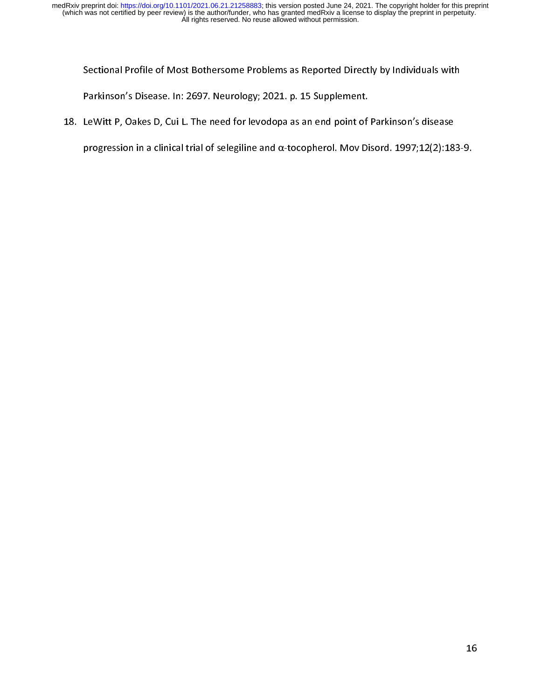Sectional Profile of Most Bothersome Problems as Reported Directly by Individuals with<br>Parkinson's Disease. In: 2697. Neurology; 2021. p. 15 Supplement.<br>LeWitt P, Oakes D, Cui L. The need for levodopa as an end point of P

 $\frac{1}{2}$ 18. LeWitt P, Oakes D, Cui L. The need for levodopa as an end point of Parkinson's disease

progression in a clinical trial of selegiline and  $\alpha$ -tocopherol. Mov Disord. 1997;12(2):18. progression in a clinical trial of selection in a clinical trial of selection in a clinical trial of selection<br>The contract of selection in a clinical trial of selection in a clinical trial of selection in a clinical tria<br>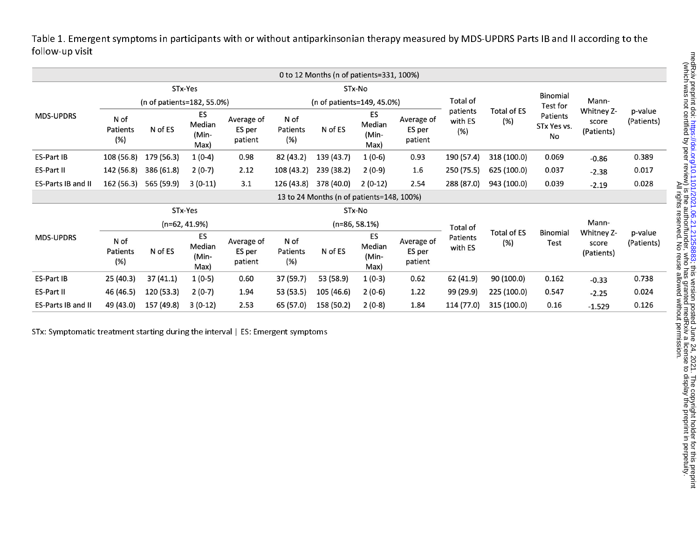Table 1. Emergent symptoms in participants with or without antiparkinsonian therapy measured by MDS-UPDRS Parts IB and II according to the follow-up visit

|                    |                            |            |                               |                                 |                            | 0 to 12 Months (n of patients=331, 100%)  |                               |                                 |                     |                                       |                               |                                   |                       |
|--------------------|----------------------------|------------|-------------------------------|---------------------------------|----------------------------|-------------------------------------------|-------------------------------|---------------------------------|---------------------|---------------------------------------|-------------------------------|-----------------------------------|-----------------------|
|                    |                            |            | STx-Yes                       |                                 | STx-No                     |                                           |                               |                                 |                     |                                       | Binomial                      |                                   |                       |
|                    | (n of patients=182, 55.0%) |            |                               |                                 | (n of patients=149, 45.0%) |                                           |                               |                                 | Total of            |                                       | Test for                      | Mann-                             |                       |
| <b>MDS-UPDRS</b>   | N of<br>Patients<br>(%)    | N of ES    | ES<br>Median<br>(Min-<br>Max) | Average of<br>ES per<br>patient | N of<br>Patients<br>(%)    | N of ES                                   | ES<br>Median<br>(Min-<br>Max) | Average of<br>ES per<br>patient | with ES<br>(%)      | <b>Total of ES</b><br>patients<br>(%) | Patients<br>STx Yes vs.<br>No | Whitney Z-<br>score<br>(Patients) | p-value<br>(Patients) |
| <b>ES-Part IB</b>  | 108 (56.8)                 | 179 (56.3) | $1(0-4)$                      | 0.98                            | 82 (43.2)                  | 139 (43.7)                                | $1(0-6)$                      | 0.93                            | 190 (57.4)          | 318 (100.0)                           | 0.069                         | $-0.86$                           | 0.389                 |
| ES-Part II         | 142 (56.8)                 | 386 (61.8) | $2(0-7)$                      | 2.12                            | 108 (43.2)                 | 239 (38.2)                                | $2(0-9)$                      | 1.6                             | 250 (75.5)          | 625 (100.0)                           | 0.037                         | $-2.38$                           | 0.017                 |
| ES-Parts IB and II | 162 (56.3)                 | 565 (59.9) | $3(0-11)$                     | 3.1                             | 126 (43.8)                 | 378 (40.0)                                | $2(0-12)$                     | 2.54                            | 288 (87.0)          | 943 (100.0)                           | 0.039                         | $-2.19$                           | 0.028                 |
|                    |                            |            |                               |                                 |                            | 13 to 24 Months (n of patients=148, 100%) |                               |                                 |                     |                                       |                               |                                   |                       |
|                    | STx-Yes                    |            |                               |                                 | STx-No                     |                                           |                               |                                 |                     |                                       |                               |                                   |                       |
|                    | $(n=62, 41.9%)$            |            |                               |                                 | $(n=86, 58.1%)$            |                                           |                               |                                 | Total of            |                                       |                               | Mann-                             |                       |
| <b>MDS-UPDRS</b>   | N of<br>Patients<br>(%)    | N of ES    | ES<br>Median<br>(Min-<br>Max) | Average of<br>ES per<br>patient | N of<br>Patients<br>(%)    | N of ES                                   | ES<br>Median<br>(Min-<br>Max) | Average of<br>ES per<br>patient | Patients<br>with ES | <b>Total of ES</b><br>(%)             | <b>Binomial</b><br>Test       | Whitney Z-<br>score<br>(Patients) | p-value<br>(Patients) |
| <b>ES-Part IB</b>  | 25 (40.3)                  | 37(41.1)   | $1(0-5)$                      | 0.60                            | 37 (59.7)                  | 53 (58.9)                                 | $1(0-3)$                      | 0.62                            | 62 (41.9)           | 90 (100.0)                            | 0.162                         | $-0.33$                           | 0.738                 |
| ES-Part II         | 46 (46.5)                  | 120 (53.3) | $2(0-7)$                      | 1.94                            | 53 (53.5)                  | 105 (46.6)                                | $2(0-6)$                      | 1.22                            | 99 (29.9)           | 225 (100.0)                           | 0.547                         | $-2.25$                           | 0.024                 |
| ES-Parts IB and II | 49 (43.0)                  | 157 (49.8) | $3(0-12)$                     | 2.53                            | 65 (57.0)                  | 158 (50.2)                                | $2(0-8)$                      | 1.84                            | 114 (77.0)          | 315 (100.0)                           | 0.16                          | $-1.529$                          | 0.126                 |

STx: Symptomatic treatment starting during the interval | ES: Emergent symptoms